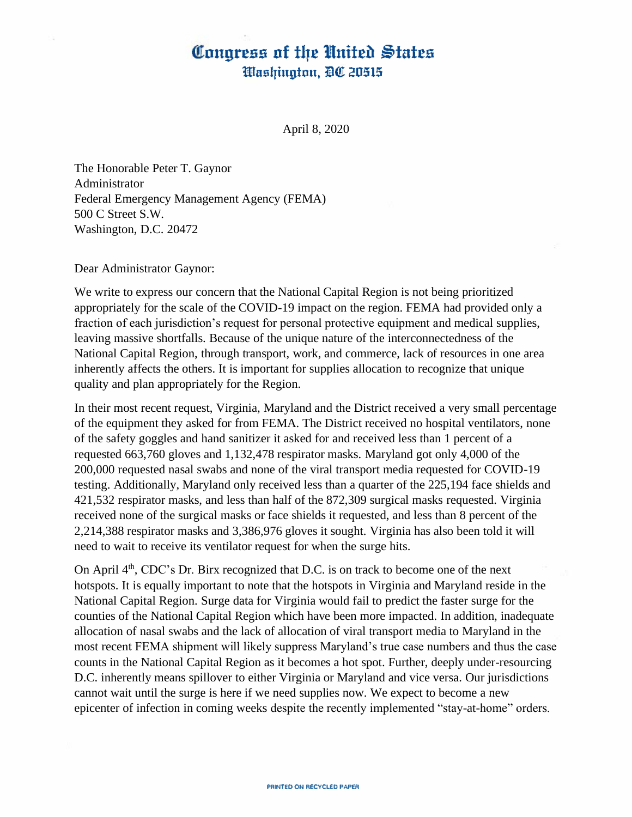## Congress of the United States Washington, DC 20515

April 8, 2020

The Honorable Peter T. Gaynor Administrator Federal Emergency Management Agency (FEMA) 500 C Street S.W. Washington, D.C. 20472

Dear Administrator Gaynor:

We write to express our concern that the National Capital Region is not being prioritized appropriately for the scale of the COVID-19 impact on the region. FEMA had provided only a fraction of each jurisdiction's request for personal protective equipment and medical supplies, leaving massive shortfalls. Because of the unique nature of the interconnectedness of the National Capital Region, through transport, work, and commerce, lack of resources in one area inherently affects the others. It is important for supplies allocation to recognize that unique quality and plan appropriately for the Region.

In their most recent request, Virginia, Maryland and the District received a very small percentage of the equipment they asked for from FEMA. The District received no hospital ventilators, none of the safety goggles and hand sanitizer it asked for and received less than 1 percent of a requested 663,760 gloves and 1,132,478 respirator masks. Maryland got only 4,000 of the 200,000 requested nasal swabs and none of the viral transport media requested for COVID-19 testing. Additionally, Maryland only received less than a quarter of the 225,194 face shields and 421,532 respirator masks, and less than half of the 872,309 surgical masks requested. Virginia received none of the surgical masks or face shields it requested, and less than 8 percent of the 2,214,388 respirator masks and 3,386,976 gloves it sought. Virginia has also been told it will need to wait to receive its ventilator request for when the surge hits.

On April 4<sup>th</sup>, CDC's Dr. Birx recognized that D.C. is on track to become one of the next hotspots. It is equally important to note that the hotspots in Virginia and Maryland reside in the National Capital Region. Surge data for Virginia would fail to predict the faster surge for the counties of the National Capital Region which have been more impacted. In addition, inadequate allocation of nasal swabs and the lack of allocation of viral transport media to Maryland in the most recent FEMA shipment will likely suppress Maryland's true case numbers and thus the case counts in the National Capital Region as it becomes a hot spot. Further, deeply under-resourcing D.C. inherently means spillover to either Virginia or Maryland and vice versa. Our jurisdictions cannot wait until the surge is here if we need supplies now. We expect to become a new epicenter of infection in coming weeks despite the recently implemented "stay-at-home" orders.